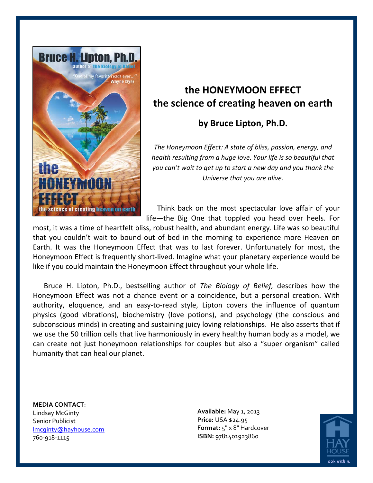

# **the HONEYMOON EFFECT the science of creating heaven on earth**

# **by Bruce Lipton, Ph.D.**

*The Honeymoon Effect: A state of bliss, passion, energy, and health resulting from a huge love. Your life is so beautiful that you can't wait to get up to start a new day and you thank the Universe that you are alive.* 

Think back on the most spectacular love affair of your life—the Big One that toppled you head over heels. For

most, it was a time of heartfelt bliss, robust health, and abundant energy. Life was so beautiful that you couldn't wait to bound out of bed in the morning to experience more Heaven on Earth. It was the Honeymoon Effect that was to last forever. Unfortunately for most, the Honeymoon Effect is frequently short‐lived. Imagine what your planetary experience would be like if you could maintain the Honeymoon Effect throughout your whole life.

Bruce H. Lipton, Ph.D., bestselling author of *The Biology of Belief,* describes how the Honeymoon Effect was not a chance event or a coincidence, but a personal creation. With authority, eloquence, and an easy-to-read style, Lipton covers the influence of quantum physics (good vibrations), biochemistry (love potions), and psychology (the conscious and subconscious minds) in creating and sustaining juicy loving relationships. He also asserts that if we use the 50 trillion cells that live harmoniously in every healthy human body as a model, we can create not just honeymoon relationships for couples but also a "super organism" called humanity that can heal our planet.

**MEDIA CONTACT**: Lindsay McGinty Senior Publicist lmcginty@hayhouse.com 760‐918‐1115

**Available:** May 1, 2013 **Price:** USA \$24.95 **Format:** 5" x 8" Hardcover **ISBN:** 9781401923860

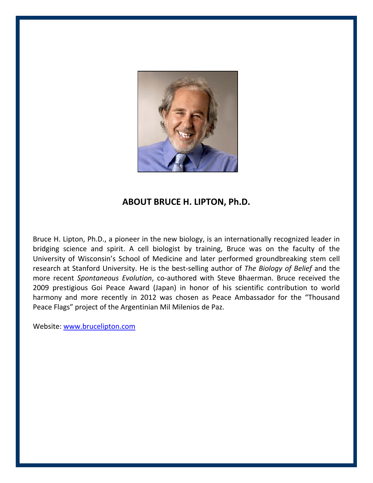

# **ABOUT BRUCE H. LIPTON, Ph.D.**

Bruce H. Lipton, Ph.D., a pioneer in the new biology, is an internationally recognized leader in bridging science and spirit. A cell biologist by training, Bruce was on the faculty of the University of Wisconsin's School of Medicine and later performed groundbreaking stem cell research at Stanford University. He is the best‐selling author of *The Biology of Belief* and the more recent *Spontaneous Evolution*, co‐authored with Steve Bhaerman. Bruce received the 2009 prestigious Goi Peace Award (Japan) in honor of his scientific contribution to world harmony and more recently in 2012 was chosen as Peace Ambassador for the "Thousand Peace Flags" project of the Argentinian Mil Milenios de Paz.

Website: www.brucelipton.com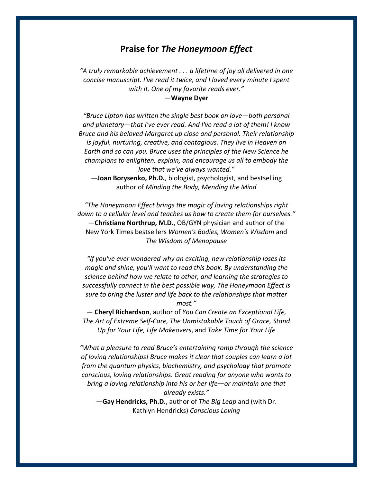## **Praise for** *The Honeymoon Effect*

*"A truly remarkable achievement . . . a lifetime of joy all delivered in one concise manuscript. I've read it twice, and I loved every minute I spent with it. One of my favorite reads ever."* —**Wayne Dyer**

*"Bruce Lipton has written the single best book on love—both personal and planetary—that I've ever read. And I've read a lot of them! I know Bruce and his beloved Margaret up close and personal. Their relationship is joyful, nurturing, creative, and contagious. They live in Heaven on Earth and so can you. Bruce uses the principles of the New Science he champions to enlighten, explain, and encourage us all to embody the love that we've always wanted."*

—**Joan Borysenko, Ph.D.**, biologist, psychologist, and bestselling author of *Minding the Body, Mending the Mind*

*"The Honeymoon Effect brings the magic of loving relationships right down to a cellular level and teaches us how to create them for ourselves."* —**Christiane Northrup, M.D.**, OB/GYN physician and author of the New York Times bestsellers *Women's Bodies, Women's Wisdom* and *The Wisdom of Menopause*

*"If you've ever wondered why an exciting, new relationship loses its magic and shine, you'll want to read this book. By understanding the science behind how we relate to other, and learning the strategies to successfully connect in the best possible way, The Honeymoon Effect is sure to bring the luster and life back to the relationships that matter most."*

— **Cheryl Richardson**, author of *You Can Create an Exceptional Life, The Art of Extreme Self‐Care, The Unmistakable Touch of Grace, Stand Up for Your Life, Life Makeovers*, and *Take Time for Your Life*

*"What a pleasure to read Bruce's entertaining romp through the science of loving relationships! Bruce makes it clear that couples can learn a lot from the quantum physics, biochemistry, and psychology that promote conscious, loving relationships. Great reading for anyone who wants to bring a loving relationship into his or her life—or maintain one that already exists."*

—**Gay Hendricks, Ph.D.**, author of *The Big Leap* and (with Dr. Kathlyn Hendricks) *Conscious Loving*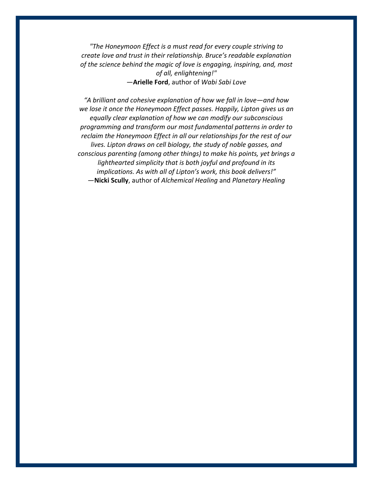*"The Honeymoon Effect is a must read for every couple striving to create love and trust in their relationship. Bruce's readable explanation of the science behind the magic of love is engaging, inspiring, and, most of all, enlightening!"* —**Arielle Ford**, author of *Wabi Sabi Love*

*"A brilliant and cohesive explanation of how we fall in love—and how we lose it once the Honeymoon Effect passes. Happily, Lipton gives us an equally clear explanation of how we can modify our subconscious programming and transform our most fundamental patterns in order to reclaim the Honeymoon Effect in all our relationships for the rest of our lives. Lipton draws on cell biology, the study of noble gasses, and conscious parenting (among other things) to make his points, yet brings a lighthearted simplicity that is both joyful and profound in its implications. As with all of Lipton's work, this book delivers!"* —**Nicki Scully**, author of *Alchemical Healing* and *Planetary Healing*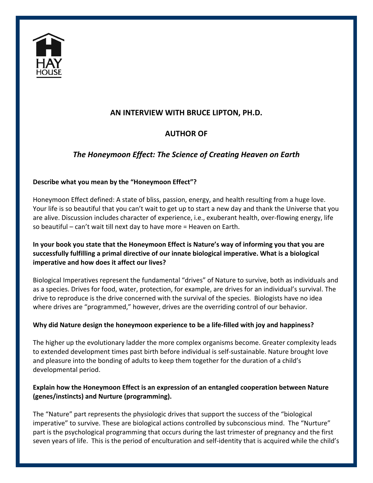

## **AN INTERVIEW WITH BRUCE LIPTON, PH.D.**

# **AUTHOR OF**

## *The Honeymoon Effect: The Science of Creating Heaven on Earth*

## **Describe what you mean by the "Honeymoon Effect"?**

Honeymoon Effect defined: A state of bliss, passion, energy, and health resulting from a huge love. Your life is so beautiful that you can't wait to get up to start a new day and thank the Universe that you are alive. Discussion includes character of experience, i.e., exuberant health, over‐flowing energy, life so beautiful – can't wait till next day to have more = Heaven on Earth.

#### **In your book you state that the Honeymoon Effect is Nature's way of informing you that you are successfully fulfilling a primal directive of our innate biological imperative. What is a biological imperative and how does it affect our lives?**

Biological Imperatives represent the fundamental "drives" of Nature to survive, both as individuals and as a species. Drives for food, water, protection, for example, are drives for an individual's survival. The drive to reproduce is the drive concerned with the survival of the species. Biologists have no idea where drives are "programmed," however, drives are the overriding control of our behavior.

## **Why did Nature design the honeymoon experience to be a life‐filled with joy and happiness?**

The higher up the evolutionary ladder the more complex organisms become. Greater complexity leads to extended development times past birth before individual is self‐sustainable. Nature brought love and pleasure into the bonding of adults to keep them together for the duration of a child's developmental period.

## **Explain how the Honeymoon Effect is an expression of an entangled cooperation between Nature (genes/instincts) and Nurture (programming).**

The "Nature" part represents the physiologic drives that support the success of the "biological imperative" to survive. These are biological actions controlled by subconscious mind. The "Nurture" part is the psychological programming that occurs during the last trimester of pregnancy and the first seven years of life. This is the period of enculturation and self-identity that is acquired while the child's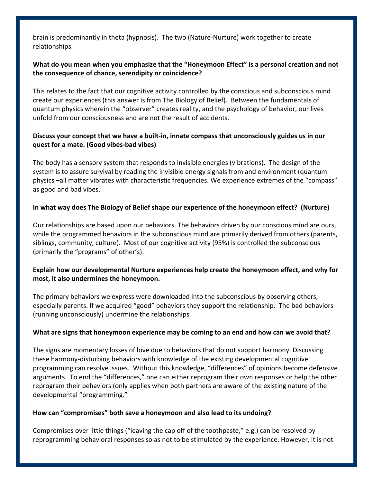brain is predominantly in theta (hypnosis). The two (Nature‐Nurture) work together to create relationships.

#### **What do you mean when you emphasize that the "Honeymoon Effect" is a personal creation and not the consequence of chance, serendipity or coincidence?**

This relates to the fact that our cognitive activity controlled by the conscious and subconscious mind create our experiences (this answer is from The Biology of Belief). Between the fundamentals of quantum physics wherein the "observer" creates reality, and the psychology of behavior, our lives unfold from our consciousness and are not the result of accidents.

#### **Discuss your concept that we have a built‐in, innate compass that unconsciously guides us in our quest for a mate. (Good vibes‐bad vibes)**

The body has a sensory system that responds to invisible energies (vibrations). The design of the system is to assure survival by reading the invisible energy signals from and environment (quantum physics –all matter vibrates with characteristic frequencies. We experience extremes of the "compass" as good and bad vibes.

#### **In what way does The Biology of Belief shape our experience of the honeymoon effect? (Nurture)**

Our relationships are based upon our behaviors. The behaviors driven by our conscious mind are ours, while the programmed behaviors in the subconscious mind are primarily derived from others (parents, siblings, community, culture). Most of our cognitive activity (95%) is controlled the subconscious (primarily the "programs" of other's).

#### **Explain how our developmental Nurture experiences help create the honeymoon effect, and why for most, it also undermines the honeymoon.**

The primary behaviors we express were downloaded into the subconscious by observing others, especially parents. If we acquired "good" behaviors they support the relationship. The bad behaviors (running unconsciously) undermine the relationships

#### **What are signs that honeymoon experience may be coming to an end and how can we avoid that?**

The signs are momentary losses of love due to behaviors that do not support harmony. Discussing these harmony‐disturbing behaviors with knowledge of the existing developmental cognitive programming can resolve issues. Without this knowledge, "differences" of opinions become defensive arguments. To end the "differences," one can either reprogram their own responses or help the other reprogram their behaviors (only applies when both partners are aware of the existing nature of the developmental "programming."

#### **How can "compromises" both save a honeymoon and also lead to its undoing?**

Compromises over little things ("leaving the cap off of the toothpaste," e.g.) can be resolved by reprogramming behavioral responses so as not to be stimulated by the experience. However, it is not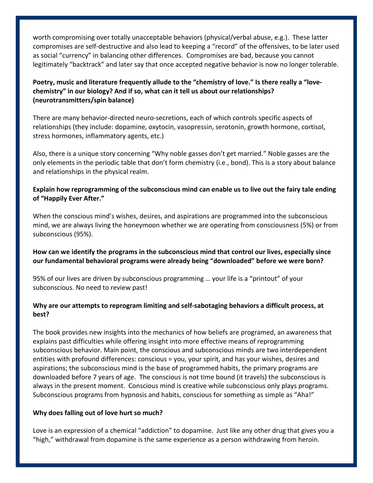worth compromising over totally unacceptable behaviors (physical/verbal abuse, e.g.). These latter compromises are self‐destructive and also lead to keeping a "record" of the offensives, to be later used as social "currency" in balancing other differences. Compromises are bad, because you cannot legitimately "backtrack" and later say that once accepted negative behavior is now no longer tolerable.

#### **Poetry, music and literature frequently allude to the "chemistry of love." Is there really a "love‐ chemistry" in our biology? And if so, what can it tell us about our relationships? (neurotransmitters/spin balance)**

There are many behavior-directed neuro-secretions, each of which controls specific aspects of relationships (they include: dopamine, oxytocin, vasopressin, serotonin, growth hormone, cortisol, stress hormones, inflammatory agents, etc.)

Also, there is a unique story concerning "Why noble gasses don't get married." Noble gasses are the only elements in the periodic table that don't form chemistry (i.e., bond). This is a story about balance and relationships in the physical realm.

#### **Explain how reprogramming of the subconscious mind can enable us to live out the fairy tale ending of "Happily Ever After."**

When the conscious mind's wishes, desires, and aspirations are programmed into the subconscious mind, we are always living the honeymoon whether we are operating from consciousness (5%) or from subconscious (95%).

#### **How can we identify the programs in the subconscious mind that control our lives, especially since our fundamental behavioral programs were already being "downloaded" before we were born?**

95% of our lives are driven by subconscious programming … your life is a "printout" of your subconscious. No need to review past!

#### **Why are our attempts to reprogram limiting and self‐sabotaging behaviors a difficult process, at best?**

The book provides new insights into the mechanics of how beliefs are programed, an awareness that explains past difficulties while offering insight into more effective means of reprogramming subconscious behavior. Main point, the conscious and subconscious minds are two interdependent entities with profound differences: conscious = you, your spirit, and has your wishes, desires and aspirations; the subconscious mind is the base of programmed habits, the primary programs are downloaded before 7 years of age. The conscious is not time bound (it travels) the subconscious is always in the present moment. Conscious mind is creative while subconscious only plays programs. Subconscious programs from hypnosis and habits, conscious for something as simple as "Aha!"

#### **Why does falling out of love hurt so much?**

Love is an expression of a chemical "addiction" to dopamine. Just like any other drug that gives you a "high," withdrawal from dopamine is the same experience as a person withdrawing from heroin.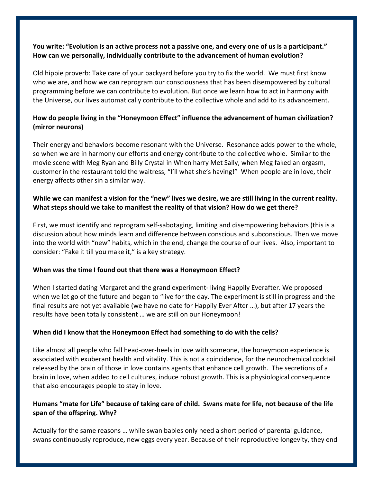#### You write: "Evolution is an active process not a passive one, and every one of us is a participant." **How can we personally, individually contribute to the advancement of human evolution?**

Old hippie proverb: Take care of your backyard before you try to fix the world. We must first know who we are, and how we can reprogram our consciousness that has been disempowered by cultural programming before we can contribute to evolution. But once we learn how to act in harmony with the Universe, our lives automatically contribute to the collective whole and add to its advancement.

#### **How do people living in the "Honeymoon Effect" influence the advancement of human civilization? (mirror neurons)**

Their energy and behaviors become resonant with the Universe. Resonance adds power to the whole, so when we are in harmony our efforts and energy contribute to the collective whole. Similar to the movie scene with Meg Ryan and Billy Crystal in When harry Met Sally, when Meg faked an orgasm, customer in the restaurant told the waitress, "I'll what she's having!" When people are in love, their energy affects other sin a similar way.

#### While we can manifest a vision for the "new" lives we desire, we are still living in the current reality. **What steps should we take to manifest the reality of that vision? How do we get there?**

First, we must identify and reprogram self‐sabotaging, limiting and disempowering behaviors (this is a discussion about how minds learn and difference between conscious and subconscious. Then we move into the world with "new" habits, which in the end, change the course of our lives. Also, important to consider: "Fake it till you make it," is a key strategy.

#### **When was the time I found out that there was a Honeymoon Effect?**

When I started dating Margaret and the grand experiment‐ living Happily Everafter. We proposed when we let go of the future and began to "live for the day. The experiment is still in progress and the final results are not yet available (we have no date for Happily Ever After …), but after 17 years the results have been totally consistent … we are still on our Honeymoon!

#### **When did I know that the Honeymoon Effect had something to do with the cells?**

Like almost all people who fall head-over-heels in love with someone, the honeymoon experience is associated with exuberant health and vitality. This is not a coincidence, for the neurochemical cocktail released by the brain of those in love contains agents that enhance cell growth. The secretions of a brain in love, when added to cell cultures, induce robust growth. This is a physiological consequence that also encourages people to stay in love.

#### Humans "mate for Life" because of taking care of child. Swans mate for life, not because of the life **span of the offspring. Why?**

Actually for the same reasons … while swan babies only need a short period of parental guidance, swans continuously reproduce, new eggs every year. Because of their reproductive longevity, they end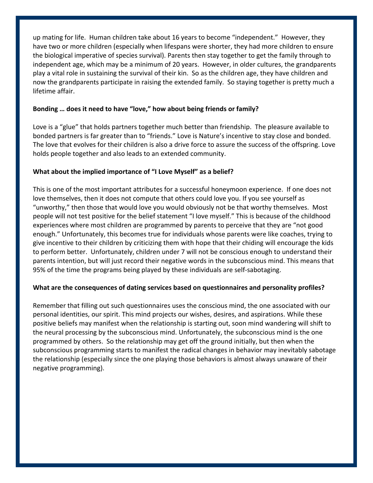up mating for life. Human children take about 16 years to become "independent." However, they have two or more children (especially when lifespans were shorter, they had more children to ensure the biological imperative of species survival). Parents then stay together to get the family through to independent age, which may be a minimum of 20 years. However, in older cultures, the grandparents play a vital role in sustaining the survival of their kin. So as the children age, they have children and now the grandparents participate in raising the extended family. So staying together is pretty much a lifetime affair.

#### **Bonding … does it need to have "love," how about being friends or family?**

Love is a "glue" that holds partners together much better than friendship. The pleasure available to bonded partners is far greater than to "friends." Love is Nature's incentive to stay close and bonded. The love that evolves for their children is also a drive force to assure the success of the offspring. Love holds people together and also leads to an extended community.

#### **What about the implied importance of "I Love Myself" as a belief?**

This is one of the most important attributes for a successful honeymoon experience. If one does not love themselves, then it does not compute that others could love you. If you see yourself as "unworthy," then those that would love you would obviously not be that worthy themselves. Most people will not test positive for the belief statement "I love myself." This is because of the childhood experiences where most children are programmed by parents to perceive that they are "not good enough." Unfortunately, this becomes true for individuals whose parents were like coaches, trying to give incentive to their children by criticizing them with hope that their chiding will encourage the kids to perform better. Unfortunately, children under 7 will not be conscious enough to understand their parents intention, but will just record their negative words in the subconscious mind. This means that 95% of the time the programs being played by these individuals are self-sabotaging.

#### **What are the consequences of dating services based on questionnaires and personality profiles?**

Remember that filling out such questionnaires uses the conscious mind, the one associated with our personal identities, our spirit. This mind projects our wishes, desires, and aspirations. While these positive beliefs may manifest when the relationship is starting out, soon mind wandering will shift to the neural processing by the subconscious mind. Unfortunately, the subconscious mind is the one programmed by others. So the relationship may get off the ground initially, but then when the subconscious programming starts to manifest the radical changes in behavior may inevitably sabotage the relationship (especially since the one playing those behaviors is almost always unaware of their negative programming).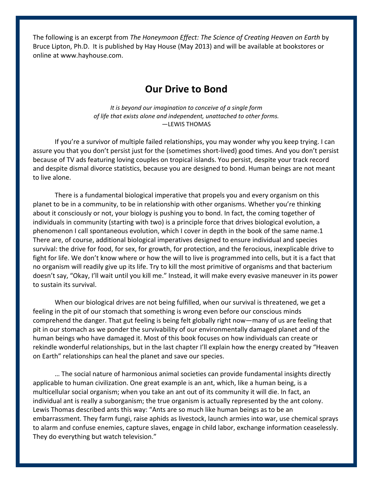The following is an excerpt from *The Honeymoon Effect: The Science of Creating Heaven on Earth* by Bruce Lipton, Ph.D. It is published by Hay House (May 2013) and will be available at bookstores or online at www.hayhouse.com.

# **Our Drive to Bond**

*It is beyond our imagination to conceive of a single form of life that exists alone and independent, unattached to other forms.* —LEWIS THOMAS

If you're a survivor of multiple failed relationships, you may wonder why you keep trying. I can assure you that you don't persist just for the (sometimes short‐lived) good times. And you don't persist because of TV ads featuring loving couples on tropical islands. You persist, despite your track record and despite dismal divorce statistics, because you are designed to bond. Human beings are not meant to live alone.

There is a fundamental biological imperative that propels you and every organism on this planet to be in a community, to be in relationship with other organisms. Whether you're thinking about it consciously or not, your biology is pushing you to bond. In fact, the coming together of individuals in community (starting with two) is a principle force that drives biological evolution, a phenomenon I call spontaneous evolution, which I cover in depth in the book of the same name.1 There are, of course, additional biological imperatives designed to ensure individual and species survival: the drive for food, for sex, for growth, for protection, and the ferocious, inexplicable drive to fight for life. We don't know where or how the will to live is programmed into cells, but it is a fact that no organism will readily give up its life. Try to kill the most primitive of organisms and that bacterium doesn't say, "Okay, I'll wait until you kill me." Instead, it will make every evasive maneuver in its power to sustain its survival.

When our biological drives are not being fulfilled, when our survival is threatened, we get a feeling in the pit of our stomach that something is wrong even before our conscious minds comprehend the danger. That gut feeling is being felt globally right now—many of us are feeling that pit in our stomach as we ponder the survivability of our environmentally damaged planet and of the human beings who have damaged it. Most of this book focuses on how individuals can create or rekindle wonderful relationships, but in the last chapter I'll explain how the energy created by "Heaven on Earth" relationships can heal the planet and save our species.

… The social nature of harmonious animal societies can provide fundamental insights directly applicable to human civilization. One great example is an ant, which, like a human being, is a multicellular social organism; when you take an ant out of its community it will die. In fact, an individual ant is really a suborganism; the true organism is actually represented by the ant colony. Lewis Thomas described ants this way: "Ants are so much like human beings as to be an embarrassment. They farm fungi, raise aphids as livestock, launch armies into war, use chemical sprays to alarm and confuse enemies, capture slaves, engage in child labor, exchange information ceaselessly. They do everything but watch television."